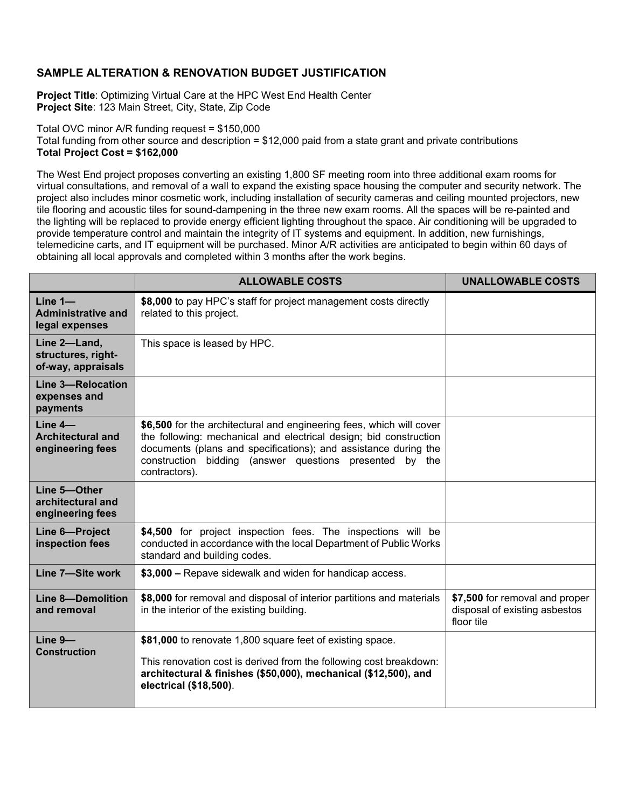## **SAMPLE ALTERATION & RENOVATION BUDGET JUSTIFICATION**

**Project Title**: Optimizing Virtual Care at the HPC West End Health Center **Project Site**: 123 Main Street, City, State, Zip Code

Total OVC minor A/R funding request = \$150,000 Total funding from other source and description = \$12,000 paid from a state grant and private contributions **Total Project Cost = \$162,000**

The West End project proposes converting an existing 1,800 SF meeting room into three additional exam rooms for virtual consultations, and removal of a wall to expand the existing space housing the computer and security network. The project also includes minor cosmetic work, including installation of security cameras and ceiling mounted projectors, new tile flooring and acoustic tiles for sound-dampening in the three new exam rooms. All the spaces will be re-painted and the lighting will be replaced to provide energy efficient lighting throughout the space. Air conditioning will be upgraded to provide temperature control and maintain the integrity of IT systems and equipment. In addition, new furnishings, telemedicine carts, and IT equipment will be purchased. Minor A/R activities are anticipated to begin within 60 days of obtaining all local approvals and completed within 3 months after the work begins.

|                                                           | <b>ALLOWABLE COSTS</b>                                                                                                                                                                                                                                                                   | <b>UNALLOWABLE COSTS</b>                                                      |
|-----------------------------------------------------------|------------------------------------------------------------------------------------------------------------------------------------------------------------------------------------------------------------------------------------------------------------------------------------------|-------------------------------------------------------------------------------|
| Line $1-$<br><b>Administrative and</b><br>legal expenses  | \$8,000 to pay HPC's staff for project management costs directly<br>related to this project.                                                                                                                                                                                             |                                                                               |
| Line 2-Land,<br>structures, right-<br>of-way, appraisals  | This space is leased by HPC.                                                                                                                                                                                                                                                             |                                                                               |
| <b>Line 3-Relocation</b><br>expenses and<br>payments      |                                                                                                                                                                                                                                                                                          |                                                                               |
| $Line 4-$<br><b>Architectural and</b><br>engineering fees | \$6,500 for the architectural and engineering fees, which will cover<br>the following: mechanical and electrical design; bid construction<br>documents (plans and specifications); and assistance during the<br>construction bidding (answer questions presented by the<br>contractors). |                                                                               |
| Line 5-Other<br>architectural and<br>engineering fees     |                                                                                                                                                                                                                                                                                          |                                                                               |
| Line 6-Project<br>inspection fees                         | \$4,500 for project inspection fees. The inspections will be<br>conducted in accordance with the local Department of Public Works<br>standard and building codes.                                                                                                                        |                                                                               |
| Line 7-Site work                                          | \$3,000 - Repave sidewalk and widen for handicap access.                                                                                                                                                                                                                                 |                                                                               |
| <b>Line 8-Demolition</b><br>and removal                   | \$8,000 for removal and disposal of interior partitions and materials<br>in the interior of the existing building.                                                                                                                                                                       | \$7,500 for removal and proper<br>disposal of existing asbestos<br>floor tile |
| $Line 9 -$<br><b>Construction</b>                         | \$81,000 to renovate 1,800 square feet of existing space.<br>This renovation cost is derived from the following cost breakdown:<br>architectural & finishes (\$50,000), mechanical (\$12,500), and<br>electrical (\$18,500).                                                             |                                                                               |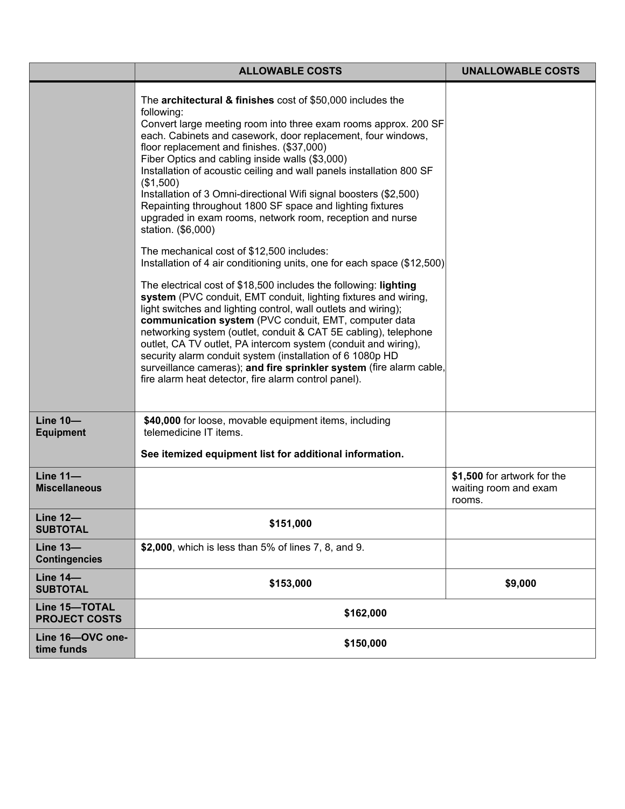|                                         | <b>ALLOWABLE COSTS</b>                                                                                                                                                                                                                                                                                                                                                                                                                                                                                                                                                                                                                                                                                                                                                                                                                                                                                                                                                                                                                                                                                                                                                                                                                                                                                                                            | <b>UNALLOWABLE COSTS</b>                                       |
|-----------------------------------------|---------------------------------------------------------------------------------------------------------------------------------------------------------------------------------------------------------------------------------------------------------------------------------------------------------------------------------------------------------------------------------------------------------------------------------------------------------------------------------------------------------------------------------------------------------------------------------------------------------------------------------------------------------------------------------------------------------------------------------------------------------------------------------------------------------------------------------------------------------------------------------------------------------------------------------------------------------------------------------------------------------------------------------------------------------------------------------------------------------------------------------------------------------------------------------------------------------------------------------------------------------------------------------------------------------------------------------------------------|----------------------------------------------------------------|
|                                         | The architectural & finishes cost of \$50,000 includes the<br>following:<br>Convert large meeting room into three exam rooms approx. 200 SF<br>each. Cabinets and casework, door replacement, four windows,<br>floor replacement and finishes. (\$37,000)<br>Fiber Optics and cabling inside walls (\$3,000)<br>Installation of acoustic ceiling and wall panels installation 800 SF<br>(\$1,500)<br>Installation of 3 Omni-directional Wifi signal boosters (\$2,500)<br>Repainting throughout 1800 SF space and lighting fixtures<br>upgraded in exam rooms, network room, reception and nurse<br>station. (\$6,000)<br>The mechanical cost of \$12,500 includes:<br>Installation of 4 air conditioning units, one for each space (\$12,500)<br>The electrical cost of \$18,500 includes the following: lighting<br>system (PVC conduit, EMT conduit, lighting fixtures and wiring,<br>light switches and lighting control, wall outlets and wiring);<br>communication system (PVC conduit, EMT, computer data<br>networking system (outlet, conduit & CAT 5E cabling), telephone<br>outlet, CA TV outlet, PA intercom system (conduit and wiring),<br>security alarm conduit system (installation of 6 1080p HD<br>surveillance cameras); and fire sprinkler system (fire alarm cable,<br>fire alarm heat detector, fire alarm control panel). |                                                                |
| <b>Line 10-</b><br><b>Equipment</b>     | \$40,000 for loose, movable equipment items, including<br>telemedicine IT items.<br>See itemized equipment list for additional information.                                                                                                                                                                                                                                                                                                                                                                                                                                                                                                                                                                                                                                                                                                                                                                                                                                                                                                                                                                                                                                                                                                                                                                                                       |                                                                |
| <b>Line 11-</b><br><b>Miscellaneous</b> |                                                                                                                                                                                                                                                                                                                                                                                                                                                                                                                                                                                                                                                                                                                                                                                                                                                                                                                                                                                                                                                                                                                                                                                                                                                                                                                                                   | \$1,500 for artwork for the<br>waiting room and exam<br>rooms. |
| <b>Line 12-</b><br><b>SUBTOTAL</b>      | \$151,000                                                                                                                                                                                                                                                                                                                                                                                                                                                                                                                                                                                                                                                                                                                                                                                                                                                                                                                                                                                                                                                                                                                                                                                                                                                                                                                                         |                                                                |
| <b>Line 13-</b><br><b>Contingencies</b> | \$2,000, which is less than 5% of lines 7, 8, and 9.                                                                                                                                                                                                                                                                                                                                                                                                                                                                                                                                                                                                                                                                                                                                                                                                                                                                                                                                                                                                                                                                                                                                                                                                                                                                                              |                                                                |
| <b>Line 14-</b><br><b>SUBTOTAL</b>      | \$153,000                                                                                                                                                                                                                                                                                                                                                                                                                                                                                                                                                                                                                                                                                                                                                                                                                                                                                                                                                                                                                                                                                                                                                                                                                                                                                                                                         | \$9,000                                                        |
| Line 15-TOTAL<br><b>PROJECT COSTS</b>   | \$162,000                                                                                                                                                                                                                                                                                                                                                                                                                                                                                                                                                                                                                                                                                                                                                                                                                                                                                                                                                                                                                                                                                                                                                                                                                                                                                                                                         |                                                                |
| Line 16-OVC one-<br>time funds          | \$150,000                                                                                                                                                                                                                                                                                                                                                                                                                                                                                                                                                                                                                                                                                                                                                                                                                                                                                                                                                                                                                                                                                                                                                                                                                                                                                                                                         |                                                                |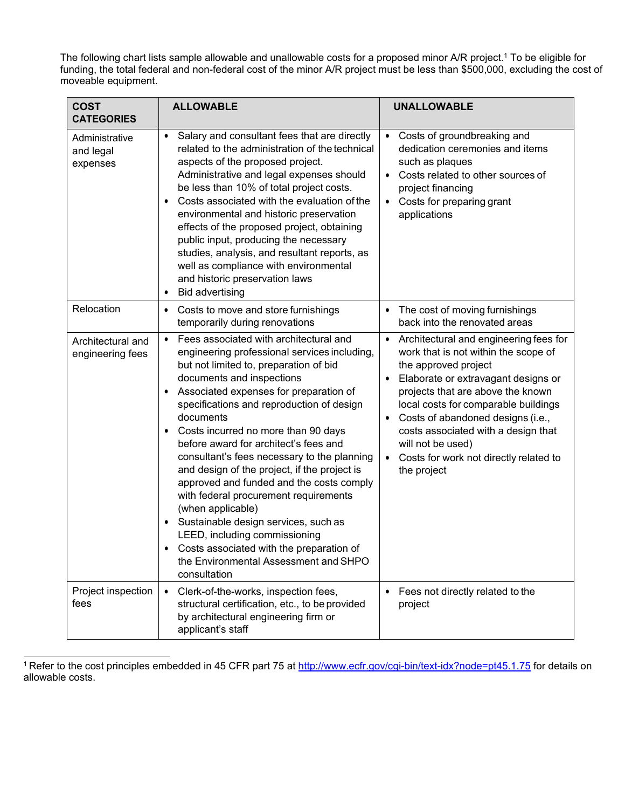The following chart lists sample allowable and unallowable costs for a proposed minor A/R project.1 To be eligible for funding, the total federal and non-federal cost of the minor A/R project must be less than \$500,000, excluding the cost of moveable equipment.

| <b>COST</b><br><b>CATEGORIES</b>        | <b>ALLOWABLE</b>                                                                                                                                                                                                                                                                                                                                                                                                                                                                                                                                                                                                                                                                                                                                                                | <b>UNALLOWABLE</b>                                                                                                                                                                                                                                                                                                                                                                   |
|-----------------------------------------|---------------------------------------------------------------------------------------------------------------------------------------------------------------------------------------------------------------------------------------------------------------------------------------------------------------------------------------------------------------------------------------------------------------------------------------------------------------------------------------------------------------------------------------------------------------------------------------------------------------------------------------------------------------------------------------------------------------------------------------------------------------------------------|--------------------------------------------------------------------------------------------------------------------------------------------------------------------------------------------------------------------------------------------------------------------------------------------------------------------------------------------------------------------------------------|
| Administrative<br>and legal<br>expenses | Salary and consultant fees that are directly<br>$\bullet$<br>related to the administration of the technical<br>aspects of the proposed project.<br>Administrative and legal expenses should<br>be less than 10% of total project costs.<br>Costs associated with the evaluation of the<br>$\bullet$<br>environmental and historic preservation<br>effects of the proposed project, obtaining<br>public input, producing the necessary<br>studies, analysis, and resultant reports, as<br>well as compliance with environmental<br>and historic preservation laws<br><b>Bid advertising</b><br>$\bullet$                                                                                                                                                                         | Costs of groundbreaking and<br>$\bullet$<br>dedication ceremonies and items<br>such as plaques<br>Costs related to other sources of<br>project financing<br>Costs for preparing grant<br>$\bullet$<br>applications                                                                                                                                                                   |
| Relocation                              | Costs to move and store furnishings<br>$\bullet$<br>temporarily during renovations                                                                                                                                                                                                                                                                                                                                                                                                                                                                                                                                                                                                                                                                                              | The cost of moving furnishings<br>back into the renovated areas                                                                                                                                                                                                                                                                                                                      |
| Architectural and<br>engineering fees   | Fees associated with architectural and<br>$\bullet$<br>engineering professional services including,<br>but not limited to, preparation of bid<br>documents and inspections<br>Associated expenses for preparation of<br>$\bullet$<br>specifications and reproduction of design<br>documents<br>Costs incurred no more than 90 days<br>before award for architect's fees and<br>consultant's fees necessary to the planning<br>and design of the project, if the project is<br>approved and funded and the costs comply<br>with federal procurement requirements<br>(when applicable)<br>Sustainable design services, such as<br>$\bullet$<br>LEED, including commissioning<br>Costs associated with the preparation of<br>the Environmental Assessment and SHPO<br>consultation | Architectural and engineering fees for<br>work that is not within the scope of<br>the approved project<br>Elaborate or extravagant designs or<br>projects that are above the known<br>local costs for comparable buildings<br>Costs of abandoned designs (i.e.,<br>costs associated with a design that<br>will not be used)<br>Costs for work not directly related to<br>the project |
| Project inspection<br>fees              | Clerk-of-the-works, inspection fees,<br>$\bullet$<br>structural certification, etc., to be provided<br>by architectural engineering firm or<br>applicant's staff                                                                                                                                                                                                                                                                                                                                                                                                                                                                                                                                                                                                                | Fees not directly related to the<br>project                                                                                                                                                                                                                                                                                                                                          |

<sup>1</sup> Refer to the cost principles embedded in 45 CFR part 75 at<http://www.ecfr.gov/cgi-bin/text-idx?node=pt45.1.75> for details on allowable costs.